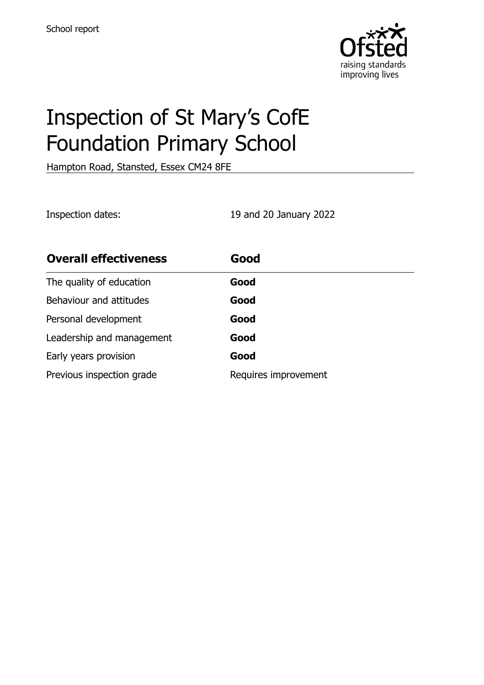

# Inspection of St Mary's CofE Foundation Primary School

Hampton Road, Stansted, Essex CM24 8FE

Inspection dates: 19 and 20 January 2022

| <b>Overall effectiveness</b> | Good                 |
|------------------------------|----------------------|
| The quality of education     | Good                 |
| Behaviour and attitudes      | Good                 |
| Personal development         | Good                 |
| Leadership and management    | Good                 |
| Early years provision        | Good                 |
| Previous inspection grade    | Requires improvement |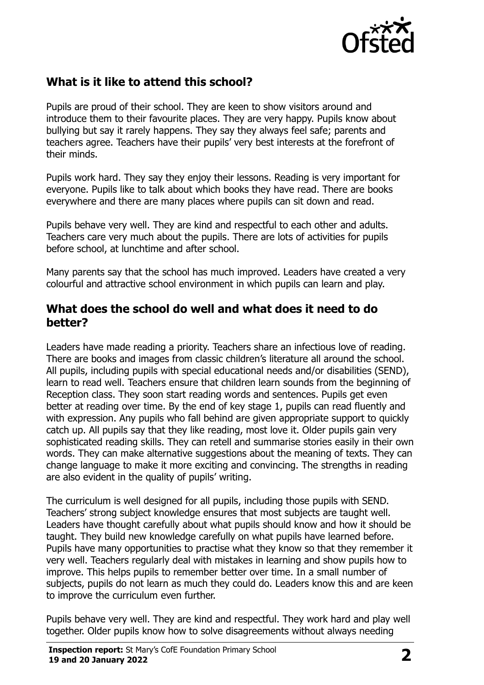

# **What is it like to attend this school?**

Pupils are proud of their school. They are keen to show visitors around and introduce them to their favourite places. They are very happy. Pupils know about bullying but say it rarely happens. They say they always feel safe; parents and teachers agree. Teachers have their pupils' very best interests at the forefront of their minds.

Pupils work hard. They say they enjoy their lessons. Reading is very important for everyone. Pupils like to talk about which books they have read. There are books everywhere and there are many places where pupils can sit down and read.

Pupils behave very well. They are kind and respectful to each other and adults. Teachers care very much about the pupils. There are lots of activities for pupils before school, at lunchtime and after school.

Many parents say that the school has much improved. Leaders have created a very colourful and attractive school environment in which pupils can learn and play.

#### **What does the school do well and what does it need to do better?**

Leaders have made reading a priority. Teachers share an infectious love of reading. There are books and images from classic children's literature all around the school. All pupils, including pupils with special educational needs and/or disabilities (SEND), learn to read well. Teachers ensure that children learn sounds from the beginning of Reception class. They soon start reading words and sentences. Pupils get even better at reading over time. By the end of key stage 1, pupils can read fluently and with expression. Any pupils who fall behind are given appropriate support to quickly catch up. All pupils say that they like reading, most love it. Older pupils gain very sophisticated reading skills. They can retell and summarise stories easily in their own words. They can make alternative suggestions about the meaning of texts. They can change language to make it more exciting and convincing. The strengths in reading are also evident in the quality of pupils' writing.

The curriculum is well designed for all pupils, including those pupils with SEND. Teachers' strong subject knowledge ensures that most subjects are taught well. Leaders have thought carefully about what pupils should know and how it should be taught. They build new knowledge carefully on what pupils have learned before. Pupils have many opportunities to practise what they know so that they remember it very well. Teachers regularly deal with mistakes in learning and show pupils how to improve. This helps pupils to remember better over time. In a small number of subjects, pupils do not learn as much they could do. Leaders know this and are keen to improve the curriculum even further.

Pupils behave very well. They are kind and respectful. They work hard and play well together. Older pupils know how to solve disagreements without always needing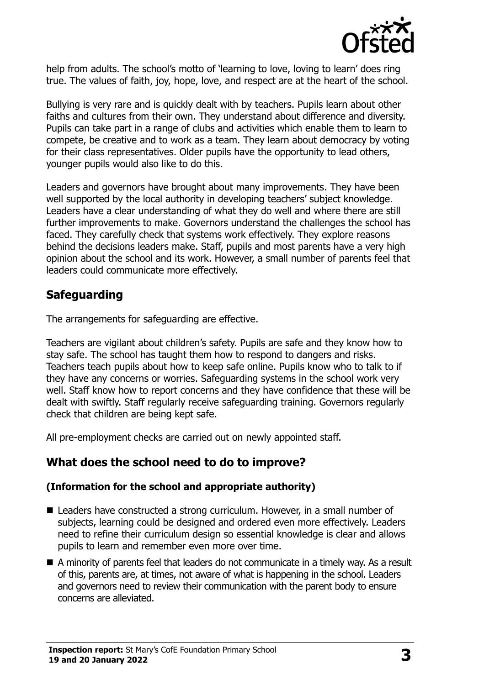

help from adults. The school's motto of 'learning to love, loving to learn' does ring true. The values of faith, joy, hope, love, and respect are at the heart of the school.

Bullying is very rare and is quickly dealt with by teachers. Pupils learn about other faiths and cultures from their own. They understand about difference and diversity. Pupils can take part in a range of clubs and activities which enable them to learn to compete, be creative and to work as a team. They learn about democracy by voting for their class representatives. Older pupils have the opportunity to lead others, younger pupils would also like to do this.

Leaders and governors have brought about many improvements. They have been well supported by the local authority in developing teachers' subject knowledge. Leaders have a clear understanding of what they do well and where there are still further improvements to make. Governors understand the challenges the school has faced. They carefully check that systems work effectively. They explore reasons behind the decisions leaders make. Staff, pupils and most parents have a very high opinion about the school and its work. However, a small number of parents feel that leaders could communicate more effectively.

# **Safeguarding**

The arrangements for safeguarding are effective.

Teachers are vigilant about children's safety. Pupils are safe and they know how to stay safe. The school has taught them how to respond to dangers and risks. Teachers teach pupils about how to keep safe online. Pupils know who to talk to if they have any concerns or worries. Safeguarding systems in the school work very well. Staff know how to report concerns and they have confidence that these will be dealt with swiftly. Staff regularly receive safeguarding training. Governors regularly check that children are being kept safe.

All pre-employment checks are carried out on newly appointed staff.

# **What does the school need to do to improve?**

#### **(Information for the school and appropriate authority)**

- Leaders have constructed a strong curriculum. However, in a small number of subjects, learning could be designed and ordered even more effectively. Leaders need to refine their curriculum design so essential knowledge is clear and allows pupils to learn and remember even more over time.
- A minority of parents feel that leaders do not communicate in a timely way. As a result of this, parents are, at times, not aware of what is happening in the school. Leaders and governors need to review their communication with the parent body to ensure concerns are alleviated.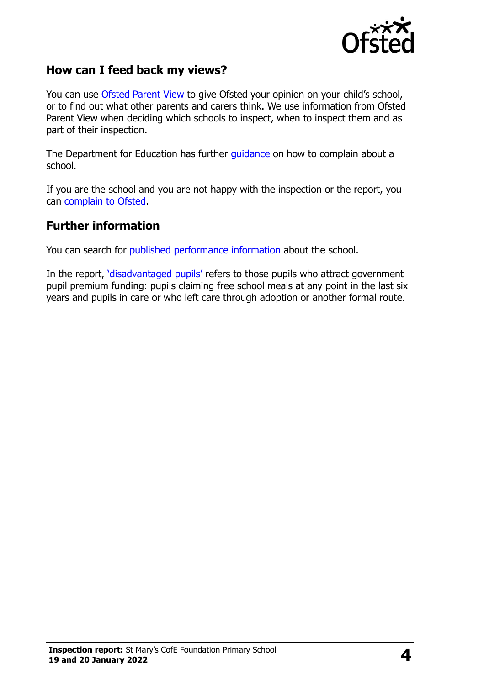

#### **How can I feed back my views?**

You can use [Ofsted Parent View](http://parentview.ofsted.gov.uk/) to give Ofsted your opinion on your child's school, or to find out what other parents and carers think. We use information from Ofsted Parent View when deciding which schools to inspect, when to inspect them and as part of their inspection.

The Department for Education has further [guidance](http://www.gov.uk/complain-about-school) on how to complain about a school.

If you are the school and you are not happy with the inspection or the report, you can [complain to Ofsted.](http://www.gov.uk/complain-ofsted-report)

#### **Further information**

You can search for [published performance information](http://www.compare-school-performance.service.gov.uk/) about the school.

In the report, '[disadvantaged pupils](http://www.gov.uk/guidance/pupil-premium-information-for-schools-and-alternative-provision-settings)' refers to those pupils who attract government pupil premium funding: pupils claiming free school meals at any point in the last six years and pupils in care or who left care through adoption or another formal route.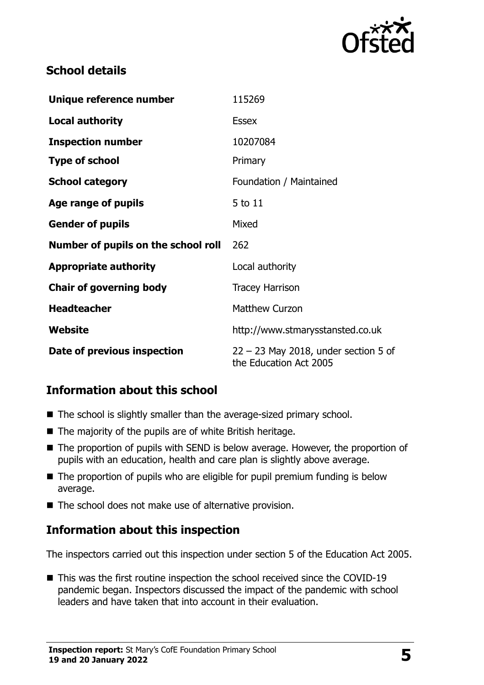

## **School details**

| Unique reference number             | 115269                                                           |  |
|-------------------------------------|------------------------------------------------------------------|--|
| <b>Local authority</b>              | <b>Essex</b>                                                     |  |
| <b>Inspection number</b>            | 10207084                                                         |  |
| <b>Type of school</b>               | Primary                                                          |  |
| <b>School category</b>              | Foundation / Maintained                                          |  |
| Age range of pupils                 | 5 to 11                                                          |  |
| <b>Gender of pupils</b>             | Mixed                                                            |  |
| Number of pupils on the school roll | 262                                                              |  |
| <b>Appropriate authority</b>        | Local authority                                                  |  |
| <b>Chair of governing body</b>      | <b>Tracey Harrison</b>                                           |  |
| <b>Headteacher</b>                  | <b>Matthew Curzon</b>                                            |  |
| Website                             | http://www.stmarysstansted.co.uk                                 |  |
| Date of previous inspection         | $22 - 23$ May 2018, under section 5 of<br>the Education Act 2005 |  |

# **Information about this school**

- The school is slightly smaller than the average-sized primary school.
- The majority of the pupils are of white British heritage.
- The proportion of pupils with SEND is below average. However, the proportion of pupils with an education, health and care plan is slightly above average.
- The proportion of pupils who are eligible for pupil premium funding is below average.
- The school does not make use of alternative provision.

### **Information about this inspection**

The inspectors carried out this inspection under section 5 of the Education Act 2005.

■ This was the first routine inspection the school received since the COVID-19 pandemic began. Inspectors discussed the impact of the pandemic with school leaders and have taken that into account in their evaluation.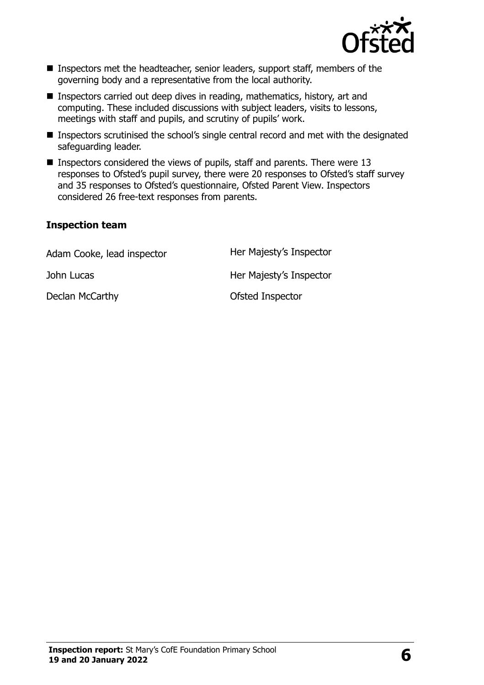

- **Inspectors met the headteacher, senior leaders, support staff, members of the** governing body and a representative from the local authority.
- Inspectors carried out deep dives in reading, mathematics, history, art and computing. These included discussions with subject leaders, visits to lessons, meetings with staff and pupils, and scrutiny of pupils' work.
- Inspectors scrutinised the school's single central record and met with the designated safeguarding leader.
- **Inspectors considered the views of pupils, staff and parents. There were 13** responses to Ofsted's pupil survey, there were 20 responses to Ofsted's staff survey and 35 responses to Ofsted's questionnaire, Ofsted Parent View. Inspectors considered 26 free-text responses from parents.

#### **Inspection team**

| Adam Cooke, lead inspector | Her Majesty's Inspector |
|----------------------------|-------------------------|
| John Lucas                 | Her Majesty's Inspector |
| Declan McCarthy            | Ofsted Inspector        |